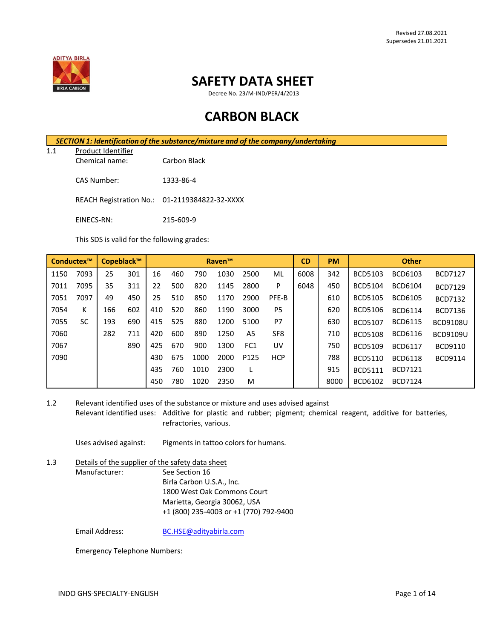

## **SAFETY DATA SHEET**

Decree No. 23/M-IND/PER/4/2013

# **CARBON BLACK**

1.1 Product Identifier Chemical name: Carbon Black

CAS Number: 1333-86-4

REACH Registration No.: 01-2119384822-32-XXXX

EINECS-RN: 215-609-9

This SDS is valid for the following grades:

|      | Conductex™ |     | Copeblack™ |     |     |      | <b>Raven™</b> |      |                 | <b>CD</b> | <b>PM</b> | <b>Other</b>   |                |                 |
|------|------------|-----|------------|-----|-----|------|---------------|------|-----------------|-----------|-----------|----------------|----------------|-----------------|
| 1150 | 7093       | 25  | 301        | 16  | 460 | 790  | 1030          | 2500 | ML              | 6008      | 342       | <b>BCD5103</b> | BCD6103        | <b>BCD7127</b>  |
| 7011 | 7095       | 35  | 311        | 22  | 500 | 820  | 1145          | 2800 | P               | 6048      | 450       | <b>BCD5104</b> | <b>BCD6104</b> | <b>BCD7129</b>  |
| 7051 | 7097       | 49  | 450        | 25  | 510 | 850  | 1170          | 2900 | PFE-B           |           | 610       | <b>BCD5105</b> | <b>BCD6105</b> | <b>BCD7132</b>  |
| 7054 | К          | 166 | 602        | 410 | 520 | 860  | 1190          | 3000 | P <sub>5</sub>  |           | 620       | <b>BCD5106</b> | <b>BCD6114</b> | <b>BCD7136</b>  |
| 7055 | SC         | 193 | 690        | 415 | 525 | 880  | 1200          | 5100 | P7              |           | 630       | <b>BCD5107</b> | <b>BCD6115</b> | <b>BCD9108U</b> |
| 7060 |            | 282 | 711        | 420 | 600 | 890  | 1250          | A5   | SF <sub>8</sub> |           | 710       | <b>BCD5108</b> | <b>BCD6116</b> | <b>BCD9109U</b> |
| 7067 |            |     | 890        | 425 | 670 | 900  | 1300          | FC1  | UV              |           | 750       | <b>BCD5109</b> | <b>BCD6117</b> | BCD9110         |
| 7090 |            |     |            | 430 | 675 | 1000 | 2000          | P125 | <b>HCP</b>      |           | 788       | <b>BCD5110</b> | <b>BCD6118</b> | <b>BCD9114</b>  |
|      |            |     |            | 435 | 760 | 1010 | 2300          |      |                 |           | 915       | <b>BCD5111</b> | <b>BCD7121</b> |                 |
|      |            |     |            | 450 | 780 | 1020 | 2350          | M    |                 |           | 8000      | BCD6102        | <b>BCD7124</b> |                 |

1.2 Relevant identified uses of the substance or mixture and uses advised against

Relevant identified uses: Additive for plastic and rubber; pigment; chemical reagent, additive for batteries, refractories, various.

Uses advised against: Pigments in tattoo colors for humans.

1.3 Details of the supplier of the safety data sheet Manufacturer: See Section 16 Birla Carbon U.S.A., Inc. 1800 West Oak Commons Court Marietta, Georgia 30062, USA +1 (800) 235-4003 or +1 (770) 792-9400

Email Address: [BC.HSE@adityabirla.com](mailto:BC.HSE@adityabirla.com)

Emergency Telephone Numbers: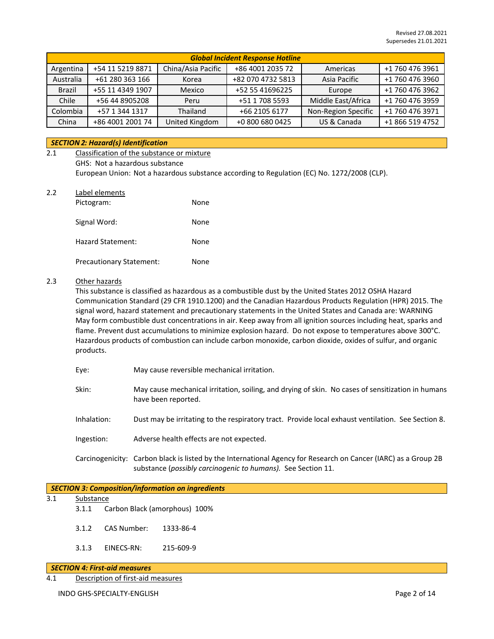| <b>Global Incident Response Hotline</b> |                  |                    |                   |                     |                 |  |
|-----------------------------------------|------------------|--------------------|-------------------|---------------------|-----------------|--|
| Argentina                               | +54 11 5219 8871 | China/Asia Pacific | +86 4001 2035 72  | Americas            | +1 760 476 3961 |  |
| Australia                               | +61 280 363 166  | Korea              | +82 070 4732 5813 | Asia Pacific        | +1 760 476 3960 |  |
| <b>Brazil</b>                           | +55 11 4349 1907 | Mexico             | +52 55 41696225   | Europe              | +1 760 476 3962 |  |
| Chile                                   | +56 44 8905208   | Peru               | +51 1 708 5593    | Middle East/Africa  | +1 760 476 3959 |  |
| Colombia                                | +57 1 344 1317   | Thailand           | +66 2105 6177     | Non-Region Specific | +1 760 476 3971 |  |
| China                                   | +86 4001 2001 74 | United Kingdom     | +0 800 680 0425   | US & Canada         | +1 866 519 4752 |  |

#### *SECTION 2: Hazard(s) Identification*

- 2.1 Classification of the substance or mixture GHS: Not a hazardous substance European Union: Not a hazardous substance according to Regulation (EC) No. 1272/2008 (CLP).
- 2.2 Label elements Pictogram: None Signal Word: None Hazard Statement: None Precautionary Statement: None

#### 2.3 Other hazards

This substance is classified as hazardous as a combustible dust by the United States 2012 OSHA Hazard Communication Standard (29 CFR 1910.1200) and the Canadian Hazardous Products Regulation (HPR) 2015. The signal word, hazard statement and precautionary statements in the United States and Canada are: WARNING May form combustible dust concentrations in air. Keep away from all ignition sources including heat, sparks and flame. Prevent dust accumulations to minimize explosion hazard. Do not expose to temperatures above 300°C. Hazardous products of combustion can include carbon monoxide, carbon dioxide, oxides of sulfur, and organic products.

- Eye: May cause reversible mechanical irritation.
- Skin: May cause mechanical irritation, soiling, and drying of skin. No cases of sensitization in humans have been reported.
- Inhalation: Dust may be irritating to the respiratory tract. Provide local exhaust ventilation. See Section 8.
- Ingestion: Adverse health effects are not expected.
- Carcinogenicity: Carbon black is listed by the International Agency for Research on Cancer (IARC) as a Group 2B substance (*possibly carcinogenic to humans).* See Section 11.

#### *SECTION 3: Composition/information on ingredients*

#### 3.1 Substance

- 3.1.1 Carbon Black (amorphous) 100%
- 3.1.2 CAS Number: 1333-86-4
- 3.1.3 EINECS-RN: 215-609-9

#### *SECTION 4: First-aid measures*

4.1 Description of first-aid measures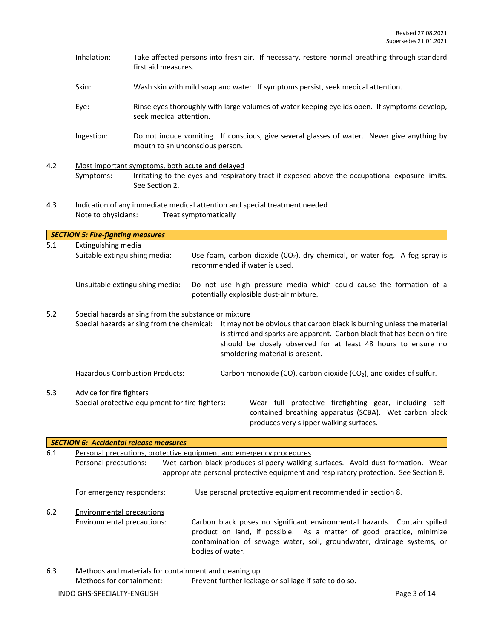- Inhalation: Take affected persons into fresh air. If necessary, restore normal breathing through standard first aid measures.
- Skin: Wash skin with mild soap and water. If symptoms persist, seek medical attention.
- Eye: Rinse eyes thoroughly with large volumes of water keeping eyelids open. If symptoms develop, seek medical attention.
- Ingestion: Do not induce vomiting. If conscious, give several glasses of water. Never give anything by mouth to an unconscious person.
- 4.2 Most important symptoms, both acute and delayed Symptoms: Irritating to the eyes and respiratory tract if exposed above the occupational exposure limits. See Section 2.
- 4.3 Indication of any immediate medical attention and special treatment needed Note to physicians: Treat symptomatically

|     | <b>SECTION 5: Fire-fighting measures</b>                                                            |  |                                                                                                                                                                                                                                                      |  |  |
|-----|-----------------------------------------------------------------------------------------------------|--|------------------------------------------------------------------------------------------------------------------------------------------------------------------------------------------------------------------------------------------------------|--|--|
| 5.1 | Extinguishing media<br>Suitable extinguishing media:                                                |  | Use foam, carbon dioxide $(CO_2)$ , dry chemical, or water fog. A fog spray is<br>recommended if water is used.                                                                                                                                      |  |  |
|     | Unsuitable extinguishing media:                                                                     |  | Do not use high pressure media which could cause the formation of a<br>potentially explosible dust-air mixture.                                                                                                                                      |  |  |
| 5.2 | Special hazards arising from the substance or mixture<br>Special hazards arising from the chemical: |  | It may not be obvious that carbon black is burning unless the material<br>is stirred and sparks are apparent. Carbon black that has been on fire<br>should be closely observed for at least 48 hours to ensure no<br>smoldering material is present. |  |  |
|     | <b>Hazardous Combustion Products:</b>                                                               |  | Carbon monoxide (CO), carbon dioxide (CO <sub>2</sub> ), and oxides of sulfur.                                                                                                                                                                       |  |  |
| 5.3 | Advice for fire fighters<br>Special protective equipment for fire-fighters:                         |  | Wear full protective firefighting gear, including self-<br>contained breathing apparatus (SCBA). Wet carbon black                                                                                                                                    |  |  |

| 6.1 | Personal precautions, protective equipment and emergency procedures |                                                                                                                                                                                                                                                |  |  |  |  |  |
|-----|---------------------------------------------------------------------|------------------------------------------------------------------------------------------------------------------------------------------------------------------------------------------------------------------------------------------------|--|--|--|--|--|
|     | Personal precautions:                                               | Wet carbon black produces slippery walking surfaces. Avoid dust formation. Wear                                                                                                                                                                |  |  |  |  |  |
|     |                                                                     | appropriate personal protective equipment and respiratory protection. See Section 8.                                                                                                                                                           |  |  |  |  |  |
|     | For emergency responders:                                           | Use personal protective equipment recommended in section 8.                                                                                                                                                                                    |  |  |  |  |  |
| 6.2 | <b>Environmental precautions</b>                                    |                                                                                                                                                                                                                                                |  |  |  |  |  |
|     | Environmental precautions:                                          | Carbon black poses no significant environmental hazards. Contain spilled<br>product on land, if possible. As a matter of good practice, minimize<br>contamination of sewage water, soil, groundwater, drainage systems, or<br>bodies of water. |  |  |  |  |  |
| 6.3 |                                                                     | Methods and materials for containment and cleaning up                                                                                                                                                                                          |  |  |  |  |  |
|     | Methods for containment:                                            | Prevent further leakage or spillage if safe to do so.                                                                                                                                                                                          |  |  |  |  |  |

produces very slipper walking surfaces.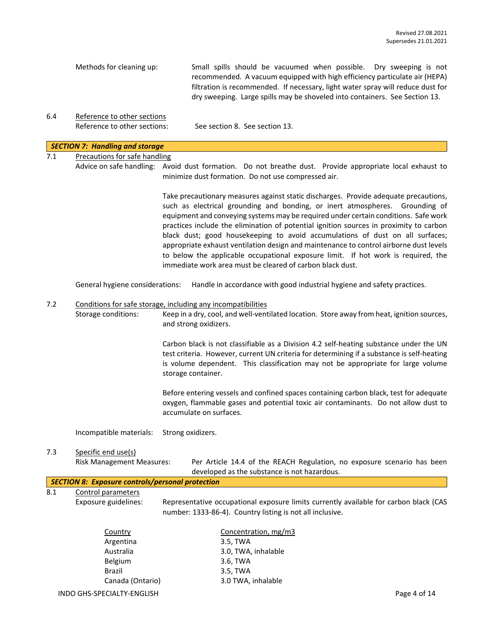| Methods for cleaning up: | Small spills should be vacuumed when possible. Dry sweeping is not              |
|--------------------------|---------------------------------------------------------------------------------|
|                          | recommended. A vacuum equipped with high efficiency particulate air (HEPA)      |
|                          | filtration is recommended. If necessary, light water spray will reduce dust for |
|                          | dry sweeping. Large spills may be shoveled into containers. See Section 13.     |

6.4 Reference to other sections Reference to other sections: See section 8. See section 13.

#### *SECTION 7: Handling and storage*

## 7.1 Precautions for safe handling

Advice on safe handling: Avoid dust formation. Do not breathe dust. Provide appropriate local exhaust to minimize dust formation. Do not use compressed air.

> Take precautionary measures against static discharges. Provide adequate precautions, such as electrical grounding and bonding, or inert atmospheres. Grounding of equipment and conveying systems may be required under certain conditions. Safe work practices include the elimination of potential ignition sources in proximity to carbon black dust; good housekeeping to avoid accumulations of dust on all surfaces; appropriate exhaust ventilation design and maintenance to control airborne dust levels to below the applicable occupational exposure limit. If hot work is required, the immediate work area must be cleared of carbon black dust.

General hygiene considerations: Handle in accordance with good industrial hygiene and safety practices.

#### 7.2 Conditions for safe storage, including any incompatibilities

Storage conditions: Keep in a dry, cool, and well-ventilated location. Store away from heat, ignition sources, and strong oxidizers.

> Carbon black is not classifiable as a Division 4.2 self-heating substance under the UN test criteria. However, current UN criteria for determining if a substance is self-heating is volume dependent. This classification may not be appropriate for large volume storage container.

> Before entering vessels and confined spaces containing carbon black, test for adequate oxygen, flammable gases and potential toxic air contaminants. Do not allow dust to accumulate on surfaces.

Incompatible materials: Strong oxidizers.

## 7.3 Specific end use(s)

Risk Management Measures: Per Article 14.4 of the REACH Regulation, no exposure scenario has been developed as the substance is not hazardous.

|  | SECTION 8: Exposure controls/personal protection                                                                                                                                                                                                                                                                                   |  |
|--|------------------------------------------------------------------------------------------------------------------------------------------------------------------------------------------------------------------------------------------------------------------------------------------------------------------------------------|--|
|  | $\mathbf{0}$ $\mathbf{A}$ $\mathbf{0}$ $\mathbf{0}$ $\mathbf{0}$ $\mathbf{0}$ $\mathbf{0}$ $\mathbf{0}$ $\mathbf{0}$ $\mathbf{0}$ $\mathbf{0}$ $\mathbf{0}$ $\mathbf{0}$ $\mathbf{0}$ $\mathbf{0}$ $\mathbf{0}$ $\mathbf{0}$ $\mathbf{0}$ $\mathbf{0}$ $\mathbf{0}$ $\mathbf{0}$ $\mathbf{0}$ $\mathbf{0}$ $\mathbf{0}$ $\mathbf{$ |  |

8.1 Control parameters

Exposure guidelines: Representative occupational exposure limits currently available for carbon black (CAS number: 1333-86-4). Country listing is not all inclusive.

| Country          | Concentration, mg/m3 |
|------------------|----------------------|
| Argentina        | 3.5, TWA             |
| Australia        | 3.0, TWA, inhalable  |
| <b>Belgium</b>   | 3.6, TWA             |
| <b>Brazil</b>    | 3.5, TWA             |
| Canada (Ontario) | 3.0 TWA, inhalable   |
|                  |                      |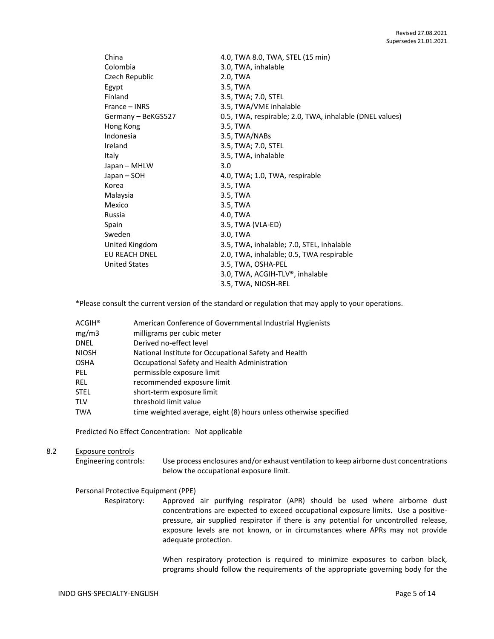| China                | 4.0, TWA 8.0, TWA, STEL (15 min)                        |
|----------------------|---------------------------------------------------------|
| Colombia             | 3.0, TWA, inhalable                                     |
| Czech Republic       | 2.0, TWA                                                |
| Egypt                | 3.5, TWA                                                |
| Finland              | 3.5, TWA; 7.0, STEL                                     |
| France – INRS        | 3.5, TWA/VME inhalable                                  |
| Germany - BeKGS527   | 0.5, TWA, respirable; 2.0, TWA, inhalable (DNEL values) |
| Hong Kong            | 3.5, TWA                                                |
| Indonesia            | 3.5, TWA/NABs                                           |
| Ireland              | 3.5, TWA; 7.0, STEL                                     |
| Italy                | 3.5, TWA, inhalable                                     |
| Japan – MHLW         | 3.0                                                     |
| Japan – SOH          | 4.0, TWA; 1.0, TWA, respirable                          |
| Korea                | 3.5, TWA                                                |
| Malaysia             | 3.5, TWA                                                |
| Mexico               | 3.5, TWA                                                |
| Russia               | 4.0, TWA                                                |
| Spain                | 3.5, TWA (VLA-ED)                                       |
| Sweden               | 3.0, TWA                                                |
| United Kingdom       | 3.5, TWA, inhalable; 7.0, STEL, inhalable               |
| EU REACH DNEL        | 2.0, TWA, inhalable; 0.5, TWA respirable                |
| <b>United States</b> | 3.5, TWA, OSHA-PEL                                      |
|                      | 3.0, TWA, ACGIH-TLV®, inhalable                         |
|                      | 3.5, TWA, NIOSH-REL                                     |

\*Please consult the current version of the standard or regulation that may apply to your operations.

| ACGIH® | American Conference of Governmental Industrial Hygienists         |
|--------|-------------------------------------------------------------------|
| mg/m3  | milligrams per cubic meter                                        |
| DNEL   | Derived no-effect level                                           |
| NIOSH  | National Institute for Occupational Safety and Health             |
| OSHA   | Occupational Safety and Health Administration                     |
| PEL    | permissible exposure limit                                        |
| REL    | recommended exposure limit                                        |
| STEL   | short-term exposure limit                                         |
| TLV    | threshold limit value                                             |
| TWA    | time weighted average, eight (8) hours unless otherwise specified |
|        |                                                                   |

Predicted No Effect Concentration: Not applicable

#### 8.2 Exposure controls

Engineering controls: Use process enclosures and/or exhaust ventilation to keep airborne dust concentrations below the occupational exposure limit.

#### Personal Protective Equipment (PPE)

Respiratory: Approved air purifying respirator (APR) should be used where airborne dust concentrations are expected to exceed occupational exposure limits. Use a positivepressure, air supplied respirator if there is any potential for uncontrolled release, exposure levels are not known, or in circumstances where APRs may not provide adequate protection.

> When respiratory protection is required to minimize exposures to carbon black, programs should follow the requirements of the appropriate governing body for the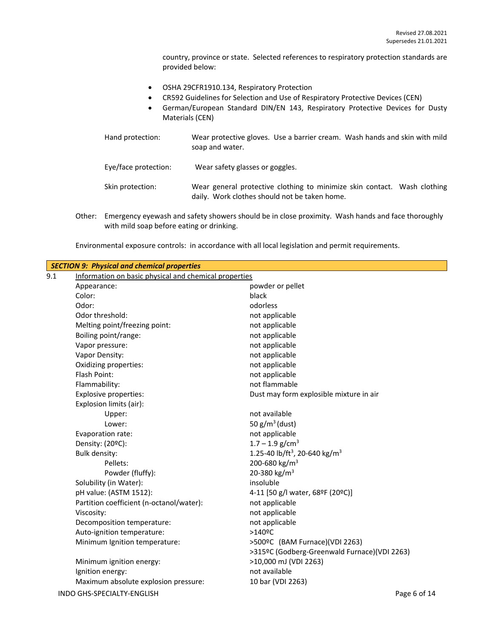country, province or state. Selected references to respiratory protection standards are provided below:

- OSHA 29CFR1910.134, Respiratory Protection
- CR592 Guidelines for Selection and Use of Respiratory Protective Devices (CEN)
- German/European Standard DIN/EN 143, Respiratory Protective Devices for Dusty Materials (CEN)

| Hand protection:     | Wear protective gloves. Use a barrier cream. Wash hands and skin with mild<br>soap and water.                             |
|----------------------|---------------------------------------------------------------------------------------------------------------------------|
| Eye/face protection: | Wear safety glasses or goggles.                                                                                           |
| Skin protection:     | Wear general protective clothing to minimize skin contact. Wash clothing<br>daily. Work clothes should not be taken home. |

Other: Emergency eyewash and safety showers should be in close proximity. Wash hands and face thoroughly with mild soap before eating or drinking.

| Environmental exposure controls: in accordance with all local legislation and permit requirements. |  |  |  |
|----------------------------------------------------------------------------------------------------|--|--|--|
|----------------------------------------------------------------------------------------------------|--|--|--|

| <b>SECTION 9: Physical and chemical properties</b> |                                                       |                                                       |  |
|----------------------------------------------------|-------------------------------------------------------|-------------------------------------------------------|--|
| 9.1                                                | Information on basic physical and chemical properties |                                                       |  |
|                                                    | Appearance:                                           | powder or pellet                                      |  |
|                                                    | Color:                                                | black                                                 |  |
|                                                    | Odor:                                                 | odorless                                              |  |
|                                                    | Odor threshold:                                       | not applicable                                        |  |
|                                                    | Melting point/freezing point:                         | not applicable                                        |  |
|                                                    | Boiling point/range:                                  | not applicable                                        |  |
|                                                    | Vapor pressure:                                       | not applicable                                        |  |
|                                                    | Vapor Density:                                        | not applicable                                        |  |
|                                                    | Oxidizing properties:                                 | not applicable                                        |  |
|                                                    | Flash Point:                                          | not applicable                                        |  |
|                                                    | Flammability:                                         | not flammable                                         |  |
|                                                    | <b>Explosive properties:</b>                          | Dust may form explosible mixture in air               |  |
|                                                    | Explosion limits (air):                               |                                                       |  |
|                                                    | Upper:                                                | not available                                         |  |
|                                                    | Lower:                                                | 50 $g/m^3$ (dust)                                     |  |
|                                                    | Evaporation rate:                                     | not applicable                                        |  |
|                                                    | Density: (20ºC):                                      | $1.7 - 1.9$ g/cm <sup>3</sup>                         |  |
|                                                    | <b>Bulk density:</b>                                  | 1.25-40 lb/ft <sup>3</sup> , 20-640 kg/m <sup>3</sup> |  |
|                                                    | Pellets:                                              | 200-680 kg/m <sup>3</sup>                             |  |
|                                                    | Powder (fluffy):                                      | 20-380 kg/m <sup>3</sup>                              |  |
|                                                    | Solubility (in Water):                                | insoluble                                             |  |
|                                                    | pH value: (ASTM 1512):                                | 4-11 [50 g/l water, 68ºF (20ºC)]                      |  |
|                                                    | Partition coefficient (n-octanol/water):              | not applicable                                        |  |
|                                                    | Viscosity:                                            | not applicable                                        |  |
|                                                    | Decomposition temperature:                            | not applicable                                        |  |
|                                                    | Auto-ignition temperature:                            | $>140$ <sup>o</sup> C                                 |  |
|                                                    | Minimum Ignition temperature:                         | >500ºC (BAM Furnace)(VDI 2263)                        |  |
|                                                    |                                                       | >315ºC (Godberg-Greenwald Furnace)(VDI 2263)          |  |
|                                                    | Minimum ignition energy:                              | >10,000 mJ (VDI 2263)                                 |  |
|                                                    | Ignition energy:                                      | not available                                         |  |
|                                                    | Maximum absolute explosion pressure:                  | 10 bar (VDI 2263)                                     |  |
|                                                    | INDO GHS-SPECIALTY-ENGLISH                            | Page 6 of 14                                          |  |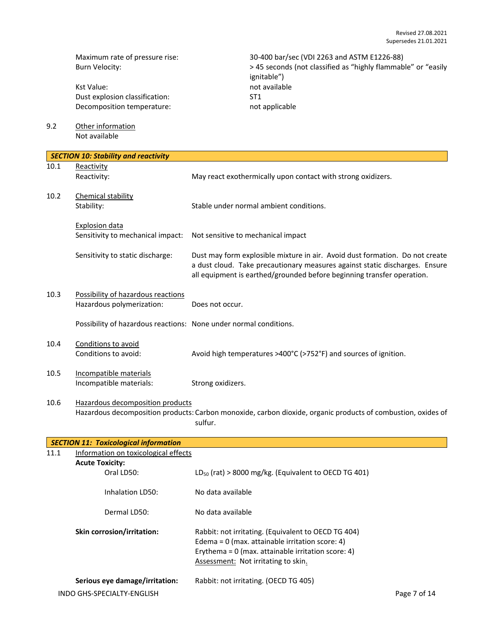Kst Value: not available Dust explosion classification: ST1<br>Decomposition temperature: National Management of applicable Decomposition temperature:

Maximum rate of pressure rise: 30-400 bar/sec (VDI 2263 and ASTM E1226-88)<br>Burn Velocity: 30-400 bar/seconds (not classified as "highly flammab" > 45 seconds (not classified as "highly flammab > 45 seconds (not classified as "highly flammable" or "easily ignitable")

9.2 Other information Not available

|      | <b>SECTION 10: Stability and reactivity</b>                       |                                                                                                                                                                                                                                       |
|------|-------------------------------------------------------------------|---------------------------------------------------------------------------------------------------------------------------------------------------------------------------------------------------------------------------------------|
| 10.1 | Reactivity<br>Reactivity:                                         | May react exothermically upon contact with strong oxidizers.                                                                                                                                                                          |
| 10.2 | Chemical stability<br>Stability:                                  | Stable under normal ambient conditions.                                                                                                                                                                                               |
|      | Explosion data<br>Sensitivity to mechanical impact:               | Not sensitive to mechanical impact                                                                                                                                                                                                    |
|      | Sensitivity to static discharge:                                  | Dust may form explosible mixture in air. Avoid dust formation. Do not create<br>a dust cloud. Take precautionary measures against static discharges. Ensure<br>all equipment is earthed/grounded before beginning transfer operation. |
| 10.3 | Possibility of hazardous reactions<br>Hazardous polymerization:   | Does not occur.                                                                                                                                                                                                                       |
|      | Possibility of hazardous reactions: None under normal conditions. |                                                                                                                                                                                                                                       |
| 10.4 | Conditions to avoid<br>Conditions to avoid:                       | Avoid high temperatures >400°C (>752°F) and sources of ignition.                                                                                                                                                                      |
| 10.5 | Incompatible materials<br>Incompatible materials:                 | Strong oxidizers.                                                                                                                                                                                                                     |
| 10.6 | Hazardous decomposition products                                  | Hazardous decomposition products: Carbon monoxide, carbon dioxide, organic products of combustion, oxides of<br>sulfur.                                                                                                               |

|      | SECTION 11: Toxicological information                        |                                                                                                                                                                                                         |              |
|------|--------------------------------------------------------------|---------------------------------------------------------------------------------------------------------------------------------------------------------------------------------------------------------|--------------|
| 11.1 | Information on toxicological effects                         |                                                                                                                                                                                                         |              |
|      | <b>Acute Toxicity:</b>                                       |                                                                                                                                                                                                         |              |
|      | Oral LD50:                                                   | $LD_{50}$ (rat) > 8000 mg/kg. (Equivalent to OECD TG 401)                                                                                                                                               |              |
|      | Inhalation LD50:                                             | No data available                                                                                                                                                                                       |              |
|      | Dermal LD50:                                                 | No data available                                                                                                                                                                                       |              |
|      | Skin corrosion/irritation:                                   | Rabbit: not irritating. (Equivalent to OECD TG 404)<br>Edema = $0$ (max. attainable irritation score: 4)<br>Erythema = $0$ (max. attainable irritation score: 4)<br>Assessment: Not irritating to skin. |              |
|      | Serious eye damage/irritation:<br>INDO GHS-SPECIALTY-ENGLISH | Rabbit: not irritating. (OECD TG 405)                                                                                                                                                                   | Page 7 of 14 |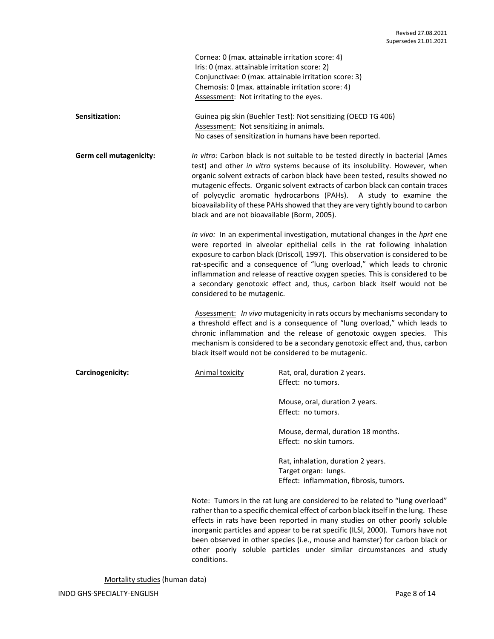| Cornea: 0 (max. attainable irritation score: 4)       |
|-------------------------------------------------------|
| Iris: 0 (max. attainable irritation score: 2)         |
| Conjunctivae: 0 (max. attainable irritation score: 3) |
| Chemosis: 0 (max. attainable irritation score: 4)     |
| Assessment: Not irritating to the eyes.               |

**Sensitization:** Guinea pig skin (Buehler Test): Not sensitizing (OECD TG 406) Assessment: Not sensitizing in animals. No cases of sensitization in humans have been reported.

**Germ cell mutagenicity:** *In vitro:* Carbon black is not suitable to be tested directly in bacterial (Ames test) and other *in vitro* systems because of its insolubility. However, when organic solvent extracts of carbon black have been tested, results showed no mutagenic effects. Organic solvent extracts of carbon black can contain traces of polycyclic aromatic hydrocarbons (PAHs). A study to examine the bioavailability of these PAHs showed that they are very tightly bound to carbon black and are not bioavailable (Borm, 2005).

> *In vivo:* In an experimental investigation, mutational changes in the *hprt* ene were reported in alveolar epithelial cells in the rat following inhalation exposure to carbon black (Driscoll*,* 1997). This observation is considered to be rat-specific and a consequence of "lung overload," which leads to chronic inflammation and release of reactive oxygen species. This is considered to be a secondary genotoxic effect and, thus, carbon black itself would not be considered to be mutagenic.

> Assessment: *In vivo* mutagenicity in rats occurs by mechanisms secondary to a threshold effect and is a consequence of "lung overload," which leads to chronic inflammation and the release of genotoxic oxygen species. This mechanism is considered to be a secondary genotoxic effect and, thus, carbon black itself would not be considered to be mutagenic.

**Carcinogenicity:** Animal toxicity Rat, oral, duration 2 years. Effect: no tumors.

> Mouse, oral, duration 2 years. Effect: no tumors.

Mouse, dermal, duration 18 months. Effect: no skin tumors.

Rat, inhalation, duration 2 years. Target organ: lungs. Effect: inflammation, fibrosis, tumors.

Note: Tumors in the rat lung are considered to be related to "lung overload" rather than to a specific chemical effect of carbon black itself in the lung. These effects in rats have been reported in many studies on other poorly soluble inorganic particles and appear to be rat specific (ILSI, 2000). Tumors have not been observed in other species (i.e., mouse and hamster) for carbon black or other poorly soluble particles under similar circumstances and study conditions.

Mortality studies (human data)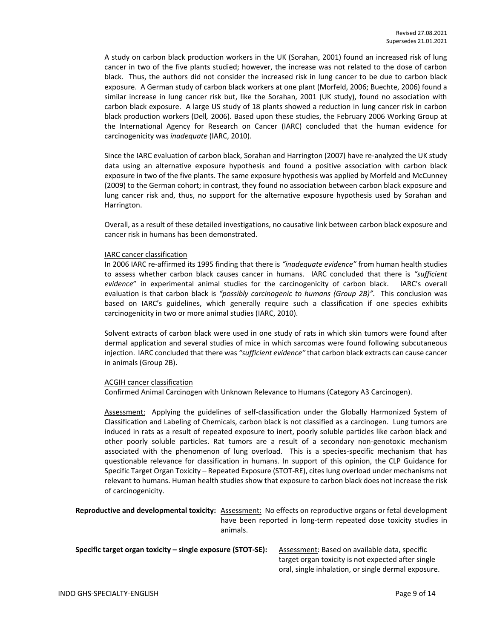A study on carbon black production workers in the UK (Sorahan, 2001) found an increased risk of lung cancer in two of the five plants studied; however, the increase was not related to the dose of carbon black. Thus, the authors did not consider the increased risk in lung cancer to be due to carbon black exposure. A German study of carbon black workers at one plant (Morfeld, 2006; Buechte, 2006) found a similar increase in lung cancer risk but, like the Sorahan, 2001 (UK study), found no association with carbon black exposure. A large US study of 18 plants showed a reduction in lung cancer risk in carbon black production workers (Dell*,* 2006). Based upon these studies, the February 2006 Working Group at the International Agency for Research on Cancer (IARC) concluded that the human evidence for carcinogenicity was *inadequate* (IARC, 2010).

Since the IARC evaluation of carbon black, Sorahan and Harrington (2007) have re-analyzed the UK study data using an alternative exposure hypothesis and found a positive association with carbon black exposure in two of the five plants. The same exposure hypothesis was applied by Morfeld and McCunney (2009) to the German cohort; in contrast, they found no association between carbon black exposure and lung cancer risk and, thus, no support for the alternative exposure hypothesis used by Sorahan and Harrington.

Overall, as a result of these detailed investigations, no causative link between carbon black exposure and cancer risk in humans has been demonstrated.

#### IARC cancer classification

In 2006 IARC re-affirmed its 1995 finding that there is *"inadequate evidence"* from human health studies to assess whether carbon black causes cancer in humans. IARC concluded that there is *"sufficient evidence*" in experimental animal studies for the carcinogenicity of carbon black. IARC's overall evaluation is that carbon black is *"possibly carcinogenic to humans (Group 2B)".* This conclusion was based on IARC's guidelines, which generally require such a classification if one species exhibits carcinogenicity in two or more animal studies (IARC, 2010).

Solvent extracts of carbon black were used in one study of rats in which skin tumors were found after dermal application and several studies of mice in which sarcomas were found following subcutaneous injection. IARC concluded that there was *"sufficient evidence"* that carbon black extracts can cause cancer in animals (Group 2B).

#### ACGIH cancer classification

Confirmed Animal Carcinogen with Unknown Relevance to Humans (Category A3 Carcinogen).

Assessment: Applying the guidelines of self-classification under the Globally Harmonized System of Classification and Labeling of Chemicals, carbon black is not classified as a carcinogen. Lung tumors are induced in rats as a result of repeated exposure to inert, poorly soluble particles like carbon black and other poorly soluble particles. Rat tumors are a result of a secondary non-genotoxic mechanism associated with the phenomenon of lung overload. This is a species-specific mechanism that has questionable relevance for classification in humans. In support of this opinion, the CLP Guidance for Specific Target Organ Toxicity – Repeated Exposure (STOT-RE), cites lung overload under mechanisms not relevant to humans. Human health studies show that exposure to carbon black does not increase the risk of carcinogenicity.

**Reproductive and developmental toxicity:** Assessment: No effects on reproductive organs or fetal development have been reported in long-term repeated dose toxicity studies in animals.

| Specific target organ toxicity – single exposure (STOT-SE): | Assessment: Based on available data, specific       |
|-------------------------------------------------------------|-----------------------------------------------------|
|                                                             | target organ toxicity is not expected after single  |
|                                                             | oral, single inhalation, or single dermal exposure. |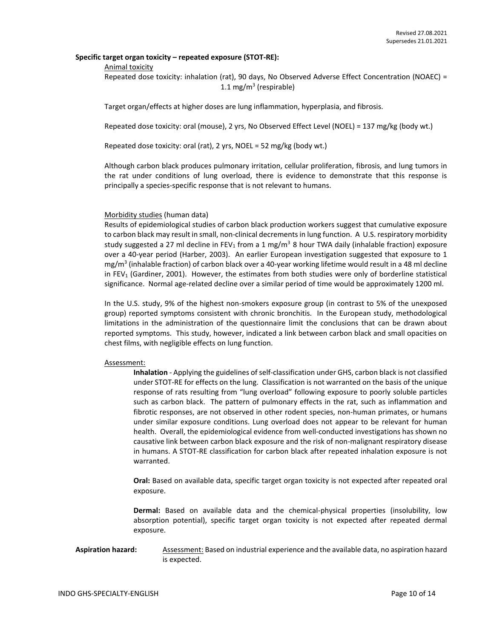#### **Specific target organ toxicity – repeated exposure (STOT-RE):**

#### Animal toxicity

Repeated dose toxicity: inhalation (rat), 90 days, No Observed Adverse Effect Concentration (NOAEC) = 1.1 mg/m<sup>3</sup> (respirable)

Target organ/effects at higher doses are lung inflammation, hyperplasia, and fibrosis.

Repeated dose toxicity: oral (mouse), 2 yrs, No Observed Effect Level (NOEL) = 137 mg/kg (body wt.)

Repeated dose toxicity: oral (rat), 2 yrs, NOEL = 52 mg/kg (body wt.)

Although carbon black produces pulmonary irritation, cellular proliferation, fibrosis, and lung tumors in the rat under conditions of lung overload, there is evidence to demonstrate that this response is principally a species-specific response that is not relevant to humans.

#### Morbidity studies (human data)

Results of epidemiological studies of carbon black production workers suggest that cumulative exposure to carbon black may result in small, non-clinical decrements in lung function. A U.S. respiratory morbidity study suggested a 27 ml decline in FEV<sub>1</sub> from a 1 mg/m<sup>3</sup> 8 hour TWA daily (inhalable fraction) exposure over a 40-year period (Harber, 2003). An earlier European investigation suggested that exposure to 1 mg/m<sup>3</sup> (inhalable fraction) of carbon black over a 40-year working lifetime would result in a 48 ml decline in FEV<sub>1</sub> (Gardiner, 2001). However, the estimates from both studies were only of borderline statistical significance. Normal age-related decline over a similar period of time would be approximately 1200 ml.

In the U.S. study, 9% of the highest non-smokers exposure group (in contrast to 5% of the unexposed group) reported symptoms consistent with chronic bronchitis. In the European study, methodological limitations in the administration of the questionnaire limit the conclusions that can be drawn about reported symptoms. This study, however, indicated a link between carbon black and small opacities on chest films, with negligible effects on lung function.

#### Assessment:

**Inhalation** - Applying the guidelines of self-classification under GHS, carbon black is not classified under STOT-RE for effects on the lung. Classification is not warranted on the basis of the unique response of rats resulting from "lung overload" following exposure to poorly soluble particles such as carbon black. The pattern of pulmonary effects in the rat, such as inflammation and fibrotic responses, are not observed in other rodent species, non-human primates, or humans under similar exposure conditions. Lung overload does not appear to be relevant for human health. Overall, the epidemiological evidence from well-conducted investigations has shown no causative link between carbon black exposure and the risk of non-malignant respiratory disease in humans. A STOT-RE classification for carbon black after repeated inhalation exposure is not warranted.

**Oral:** Based on available data, specific target organ toxicity is not expected after repeated oral exposure.

**Dermal:** Based on available data and the chemical-physical properties (insolubility, low absorption potential), specific target organ toxicity is not expected after repeated dermal exposure.

#### Aspiration hazard: Assessment: Based on industrial experience and the available data, no aspiration hazard is expected.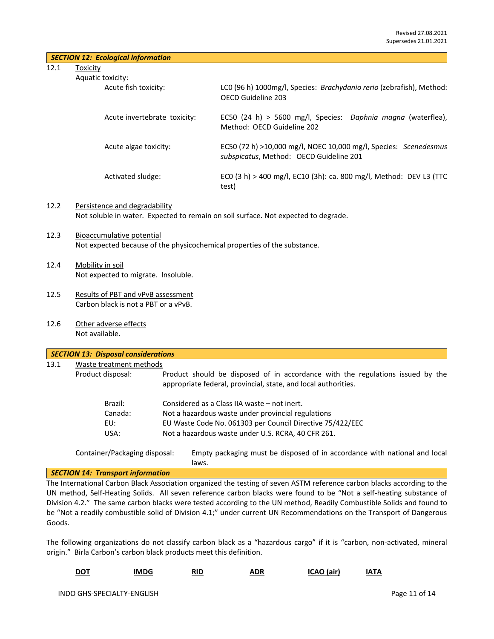12.1 Toxicity

| ic toxicity:                 |                                                                                                             |
|------------------------------|-------------------------------------------------------------------------------------------------------------|
| Acute fish toxicity:         | LCO (96 h) 1000mg/l, Species: Brachydanio rerio (zebrafish), Method:<br>OFCD Guideline 203                  |
| Acute invertebrate toxicity: | EC50 (24 h) > 5600 mg/l, Species: Daphnia magna (waterflea),<br>Method: OECD Guideline 202                  |
| Acute algae toxicity:        | EC50 (72 h) >10,000 mg/l, NOEC 10,000 mg/l, Species: Scenedesmus<br>subspicatus, Method: OECD Guideline 201 |
| Activated sludge:            | ECO (3 h) > 400 mg/l, EC10 (3h): ca. 800 mg/l, Method: DEV L3 (TTC<br>test)                                 |

#### 12.2 Persistence and degradability Not soluble in water. Expected to remain on soil surface. Not expected to degrade.

- 12.3 Bioaccumulative potential Not expected because of the physicochemical properties of the substance.
- 12.4 Mobility in soil Not expected to migrate. Insoluble.
- 12.5 Results of PBT and vPvB assessment Carbon black is not a PBT or a vPvB.
- 12.6 Other adverse effects Not available.

| 13.1 | Waste treatment methods |                                                                                                                                                  |
|------|-------------------------|--------------------------------------------------------------------------------------------------------------------------------------------------|
|      | Product disposal:       | Product should be disposed of in accordance with the regulations issued by the<br>appropriate federal, provincial, state, and local authorities. |
|      | Brazil:                 | Considered as a Class IIA waste – not inert.                                                                                                     |
|      | Canada:                 | Not a hazardous waste under provincial regulations                                                                                               |
|      | EU:                     | EU Waste Code No. 061303 per Council Directive 75/422/EEC                                                                                        |
|      | USA:                    | Not a hazardous waste under U.S. RCRA, 40 CFR 261.                                                                                               |

#### *SECTION 14: Transport information*

The International Carbon Black Association organized the testing of seven ASTM reference carbon blacks according to the UN method, Self-Heating Solids. All seven reference carbon blacks were found to be "Not a self-heating substance of Division 4.2." The same carbon blacks were tested according to the UN method, Readily Combustible Solids and found to be "Not a readily combustible solid of Division 4.1;" under current UN Recommendations on the Transport of Dangerous Goods.

The following organizations do not classify carbon black as a "hazardous cargo" if it is "carbon, non-activated, mineral origin." Birla Carbon's carbon black products meet this definition.

|  | <b>DOT</b> | IMDG | RID | ADR | ICAO (air) | IATA |
|--|------------|------|-----|-----|------------|------|
|--|------------|------|-----|-----|------------|------|

laws.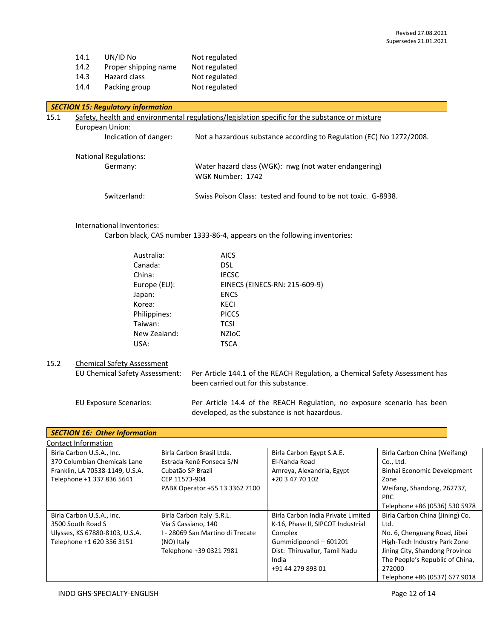| 14.1 | UN/ID No             | Not regulated |
|------|----------------------|---------------|
| 14.2 | Proper shipping name | Not regulated |
| 14.3 | Hazard class         | Not regulated |
| 14.4 | Packing group        | Not regulated |

#### *SECTION 15: Regulatory information*

| 15.1 |                                          | Safety, health and environmental regulations/legislation specific for the substance or mixture |
|------|------------------------------------------|------------------------------------------------------------------------------------------------|
|      | European Union:<br>Indication of danger: | Not a hazardous substance according to Regulation (EC) No 1272/2008.                           |
|      | <b>National Regulations:</b><br>Germany: | Water hazard class (WGK): nwg (not water endangering)<br>WGK Number: 1742                      |
|      | Switzerland:                             | Swiss Poison Class: tested and found to be not toxic. G-8938.                                  |

#### International Inventories:

Carbon black, CAS number 1333-86-4, appears on the following inventories:

| Australia:   | <b>AICS</b>                   |
|--------------|-------------------------------|
| Canada:      | DSL                           |
| China:       | <b>IECSC</b>                  |
| Europe (EU): | EINECS (EINECS-RN: 215-609-9) |
| Japan:       | <b>ENCS</b>                   |
| Korea:       | <b>KECI</b>                   |
| Philippines: | <b>PICCS</b>                  |
| Taiwan:      | <b>TCSI</b>                   |
| New Zealand: | <b>NZIOC</b>                  |
| USA:         | <b>TSCA</b>                   |
|              |                               |

## 15.2 Chemical Safety Assessment

EU Chemical Safety Assessment: Per Article 144.1 of the REACH Regulation, a Chemical Safety Assessment has been carried out for this substance.

EU Exposure Scenarios: Per Article 14.4 of the REACH Regulation, no exposure scenario has been developed, as the substance is not hazardous.

| <b>SECTION 16: Other Information</b>                                                                                      |                                                                                                                               |                                                                                                                                                                             |                                                                                                                                                                                                                         |
|---------------------------------------------------------------------------------------------------------------------------|-------------------------------------------------------------------------------------------------------------------------------|-----------------------------------------------------------------------------------------------------------------------------------------------------------------------------|-------------------------------------------------------------------------------------------------------------------------------------------------------------------------------------------------------------------------|
| Contact Information                                                                                                       |                                                                                                                               |                                                                                                                                                                             |                                                                                                                                                                                                                         |
| Birla Carbon U.S.A., Inc.<br>370 Columbian Chemicals Lane<br>Franklin, LA 70538-1149, U.S.A.<br>Telephone +1 337 836 5641 | Birla Carbon Brasil Ltda.<br>Estrada Renê Fonseca S/N<br>Cubatão SP Brazil<br>CEP 11573-904<br>PABX Operator +55 13 3362 7100 | Birla Carbon Egypt S.A.E.<br>El-Nahda Road<br>Amreya, Alexandria, Egypt<br>+20 3 47 70 102                                                                                  | Birla Carbon China (Weifang)<br>Co., Ltd.<br>Binhai Economic Development<br>Zone<br>Weifang, Shandong, 262737,<br><b>PRC</b><br>Telephone +86 (0536) 530 5978                                                           |
| Birla Carbon U.S.A., Inc.<br>3500 South Road S<br>Ulysses, KS 67880-8103, U.S.A.<br>Telephone +1 620 356 3151             | Birla Carbon Italy S.R.L.<br>Via S Cassiano, 140<br>I - 28069 San Martino di Trecate<br>(NO) Italy<br>Telephone +39 0321 7981 | Birla Carbon India Private Limited<br>K-16, Phase II, SIPCOT Industrial<br>Complex<br>Gummidipoondi - 601201<br>Dist: Thiruvallur, Tamil Nadu<br>India<br>+91 44 279 893 01 | Birla Carbon China (Jining) Co.<br>Ltd.<br>No. 6, Chenguang Road, Jibei<br>High-Tech Industry Park Zone<br>Jining City, Shandong Province<br>The People's Republic of China,<br>272000<br>Telephone +86 (0537) 677 9018 |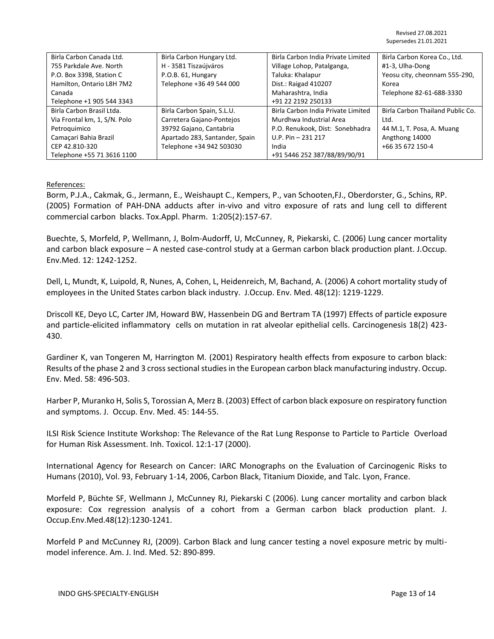| Birla Carbon Canada Ltd.     | Birla Carbon Hungary Ltd.      | Birla Carbon India Private Limited | Birla Carbon Korea Co., Ltd.     |
|------------------------------|--------------------------------|------------------------------------|----------------------------------|
| 755 Parkdale Ave. North      | H - 3581 Tiszaújváros          | Village Lohop, Patalganga,         | #1-3, Ulha-Dong                  |
| P.O. Box 3398, Station C     | P.O.B. 61, Hungary             | Taluka: Khalapur                   | Yeosu city, cheonnam 555-290,    |
| Hamilton, Ontario L8H 7M2    | Telephone +36 49 544 000       | Dist.: Raigad 410207               | Korea                            |
| Canada                       |                                | Maharashtra, India                 | Telephone 82-61-688-3330         |
| Telephone +1 905 544 3343    |                                | +91 22 2192 250133                 |                                  |
| Birla Carbon Brasil Ltda.    | Birla Carbon Spain, S.L.U.     | Birla Carbon India Private Limited | Birla Carbon Thailand Public Co. |
| Via Frontal km, 1, S/N. Polo | Carretera Gajano-Pontejos      | Murdhwa Industrial Area            | Ltd.                             |
| Petroquimico                 | 39792 Gajano, Cantabria        | P.O. Renukook, Dist: Sonebhadra    | 44 M.1, T. Posa, A. Muang        |
| Camaçari Bahia Brazil        | Apartado 283, Santander, Spain | $U.P. Pin - 231 217$               | Angthong 14000                   |
| CEP 42.810-320               | Telephone +34 942 503030       | India                              | +66 35 672 150-4                 |
| Telephone +55 71 3616 1100   |                                | +91 5446 252 387/88/89/90/91       |                                  |

#### References:

Borm, P.J.A., Cakmak, G., Jermann, E., Weishaupt C., Kempers, P., van Schooten,FJ., Oberdorster, G., Schins, RP. (2005) Formation of PAH-DNA adducts after in-vivo and vitro exposure of rats and lung cell to different commercial carbon blacks. Tox.Appl. Pharm. 1:205(2):157-67.

Buechte, S, Morfeld, P, Wellmann, J, Bolm-Audorff, U, McCunney, R, Piekarski, C. (2006) Lung cancer mortality and carbon black exposure – A nested case-control study at a German carbon black production plant. J.Occup. Env.Med. 12: 1242-1252.

Dell, L, Mundt, K, Luipold, R, Nunes, A, Cohen, L, Heidenreich, M, Bachand, A. (2006) A cohort mortality study of employees in the United States carbon black industry. J.Occup. Env. Med. 48(12): 1219-1229.

Driscoll KE, Deyo LC, Carter JM, Howard BW, Hassenbein DG and Bertram TA (1997) Effects of particle exposure and particle-elicited inflammatory cells on mutation in rat alveolar epithelial cells. Carcinogenesis 18(2) 423- 430.

Gardiner K, van Tongeren M, Harrington M. (2001) Respiratory health effects from exposure to carbon black: Results of the phase 2 and 3 cross sectional studies in the European carbon black manufacturing industry. Occup. Env. Med. 58: 496-503.

Harber P, Muranko H, Solis S, Torossian A, Merz B. (2003) Effect of carbon black exposure on respiratory function and symptoms. J. Occup. Env. Med. 45: 144-55.

ILSI Risk Science Institute Workshop: The Relevance of the Rat Lung Response to Particle to Particle Overload for Human Risk Assessment. Inh. Toxicol. 12:1-17 (2000).

International Agency for Research on Cancer: IARC Monographs on the Evaluation of Carcinogenic Risks to Humans (2010), Vol. 93, February 1-14, 2006, Carbon Black, Titanium Dioxide, and Talc. Lyon, France.

Morfeld P, Büchte SF, Wellmann J, McCunney RJ, Piekarski C (2006). Lung cancer mortality and carbon black exposure: Cox regression analysis of a cohort from a German carbon black production plant. J. Occup.Env.Med.48(12):1230-1241.

Morfeld P and McCunney RJ, (2009). Carbon Black and lung cancer testing a novel exposure metric by multimodel inference. Am. J. Ind. Med. 52: 890-899.